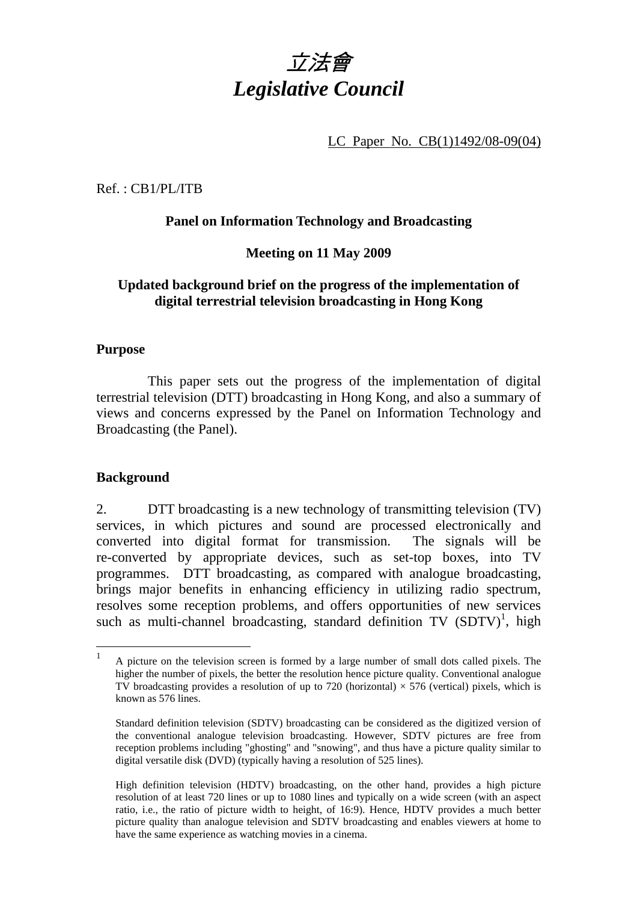

LC Paper No. CB(1)1492/08-09(04)

Ref. : CB1/PL/ITB

### **Panel on Information Technology and Broadcasting**

#### **Meeting on 11 May 2009**

### **Updated background brief on the progress of the implementation of digital terrestrial television broadcasting in Hong Kong**

#### **Purpose**

 This paper sets out the progress of the implementation of digital terrestrial television (DTT) broadcasting in Hong Kong, and also a summary of views and concerns expressed by the Panel on Information Technology and Broadcasting (the Panel).

#### **Background**

2. DTT broadcasting is a new technology of transmitting television (TV) services, in which pictures and sound are processed electronically and converted into digital format for transmission. The signals will be re-converted by appropriate devices, such as set-top boxes, into TV programmes. DTT broadcasting, as compared with analogue broadcasting, brings major benefits in enhancing efficiency in utilizing radio spectrum, resolves some reception problems, and offers opportunities of new services such as multi-channel broadcasting, standard definition  $TV$   $(SDTV)^1$ , high

 $\frac{1}{1}$  A picture on the television screen is formed by a large number of small dots called pixels. The higher the number of pixels, the better the resolution hence picture quality. Conventional analogue TV broadcasting provides a resolution of up to 720 (horizontal)  $\times$  576 (vertical) pixels, which is known as 576 lines.

Standard definition television (SDTV) broadcasting can be considered as the digitized version of the conventional analogue television broadcasting. However, SDTV pictures are free from reception problems including "ghosting" and "snowing", and thus have a picture quality similar to digital versatile disk (DVD) (typically having a resolution of 525 lines).

High definition television (HDTV) broadcasting, on the other hand, provides a high picture resolution of at least 720 lines or up to 1080 lines and typically on a wide screen (with an aspect ratio, i.e., the ratio of picture width to height, of 16:9). Hence, HDTV provides a much better picture quality than analogue television and SDTV broadcasting and enables viewers at home to have the same experience as watching movies in a cinema.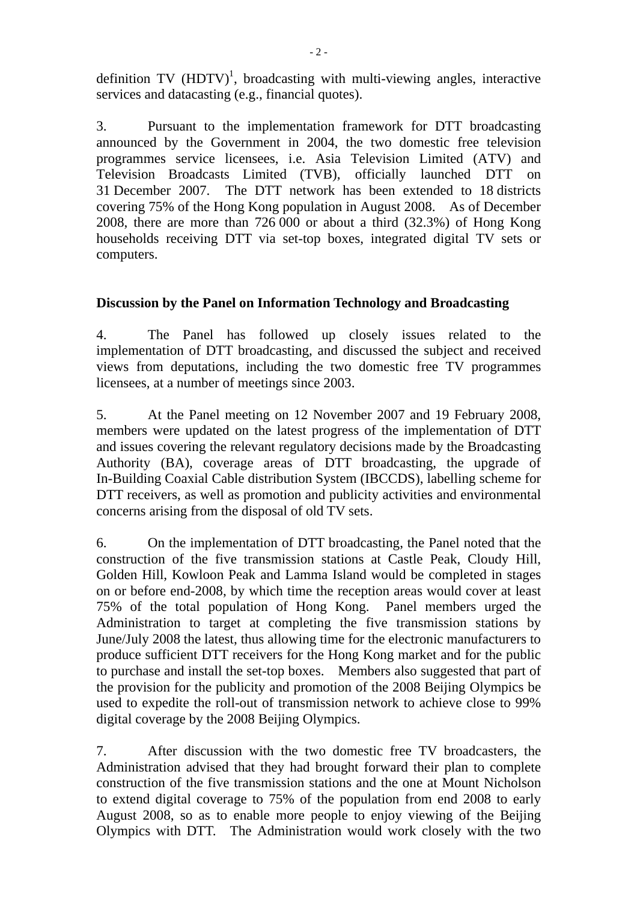definition TV  $(HDTV)^1$ , broadcasting with multi-viewing angles, interactive services and datacasting (e.g., financial quotes).

3. Pursuant to the implementation framework for DTT broadcasting announced by the Government in 2004, the two domestic free television programmes service licensees, i.e. Asia Television Limited (ATV) and Television Broadcasts Limited (TVB), officially launched DTT on 31 December 2007. The DTT network has been extended to 18 districts covering 75% of the Hong Kong population in August 2008. As of December 2008, there are more than 726 000 or about a third (32.3%) of Hong Kong households receiving DTT via set-top boxes, integrated digital TV sets or computers.

#### **Discussion by the Panel on Information Technology and Broadcasting**

4. The Panel has followed up closely issues related to the implementation of DTT broadcasting, and discussed the subject and received views from deputations, including the two domestic free TV programmes licensees, at a number of meetings since 2003.

5. At the Panel meeting on 12 November 2007 and 19 February 2008, members were updated on the latest progress of the implementation of DTT and issues covering the relevant regulatory decisions made by the Broadcasting Authority (BA), coverage areas of DTT broadcasting, the upgrade of In-Building Coaxial Cable distribution System (IBCCDS), labelling scheme for DTT receivers, as well as promotion and publicity activities and environmental concerns arising from the disposal of old TV sets.

6. On the implementation of DTT broadcasting, the Panel noted that the construction of the five transmission stations at Castle Peak, Cloudy Hill, Golden Hill, Kowloon Peak and Lamma Island would be completed in stages on or before end-2008, by which time the reception areas would cover at least 75% of the total population of Hong Kong. Panel members urged the Administration to target at completing the five transmission stations by June/July 2008 the latest, thus allowing time for the electronic manufacturers to produce sufficient DTT receivers for the Hong Kong market and for the public to purchase and install the set-top boxes. Members also suggested that part of the provision for the publicity and promotion of the 2008 Beijing Olympics be used to expedite the roll-out of transmission network to achieve close to 99% digital coverage by the 2008 Beijing Olympics.

7. After discussion with the two domestic free TV broadcasters, the Administration advised that they had brought forward their plan to complete construction of the five transmission stations and the one at Mount Nicholson to extend digital coverage to 75% of the population from end 2008 to early August 2008, so as to enable more people to enjoy viewing of the Beijing Olympics with DTT. The Administration would work closely with the two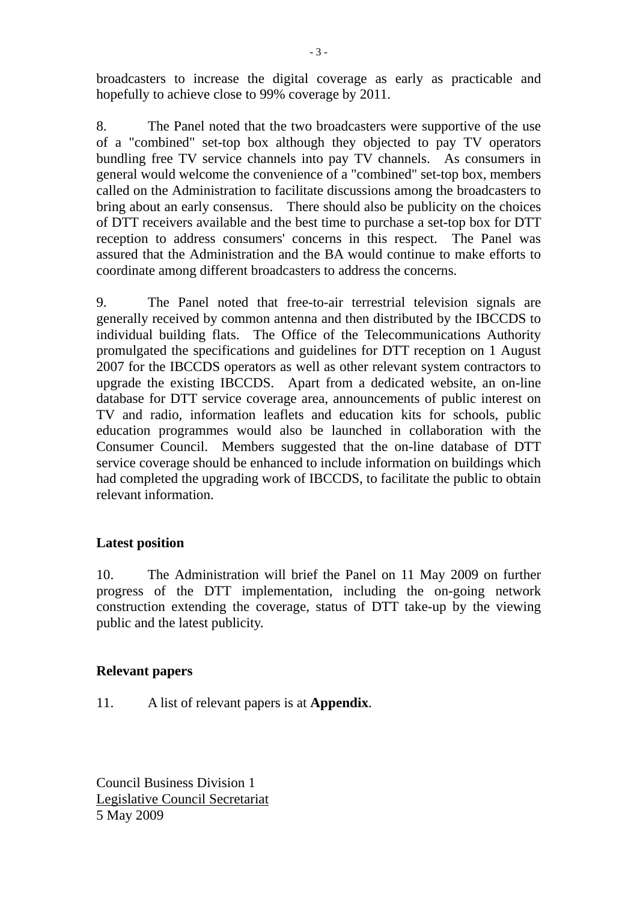broadcasters to increase the digital coverage as early as practicable and hopefully to achieve close to 99% coverage by 2011.

8. The Panel noted that the two broadcasters were supportive of the use of a "combined" set-top box although they objected to pay TV operators bundling free TV service channels into pay TV channels. As consumers in general would welcome the convenience of a "combined" set-top box, members called on the Administration to facilitate discussions among the broadcasters to bring about an early consensus. There should also be publicity on the choices of DTT receivers available and the best time to purchase a set-top box for DTT reception to address consumers' concerns in this respect. The Panel was assured that the Administration and the BA would continue to make efforts to coordinate among different broadcasters to address the concerns.

9. The Panel noted that free-to-air terrestrial television signals are generally received by common antenna and then distributed by the IBCCDS to individual building flats. The Office of the Telecommunications Authority promulgated the specifications and guidelines for DTT reception on 1 August 2007 for the IBCCDS operators as well as other relevant system contractors to upgrade the existing IBCCDS. Apart from a dedicated website, an on-line database for DTT service coverage area, announcements of public interest on TV and radio, information leaflets and education kits for schools, public education programmes would also be launched in collaboration with the Consumer Council.Members suggested that the on-line database of DTT service coverage should be enhanced to include information on buildings which had completed the upgrading work of IBCCDS, to facilitate the public to obtain relevant information.

#### **Latest position**

10. The Administration will brief the Panel on 11 May 2009 on further progress of the DTT implementation, including the on-going network construction extending the coverage, status of DTT take-up by the viewing public and the latest publicity.

#### **Relevant papers**

11. A list of relevant papers is at **Appendix**.

Council Business Division 1 Legislative Council Secretariat 5 May 2009